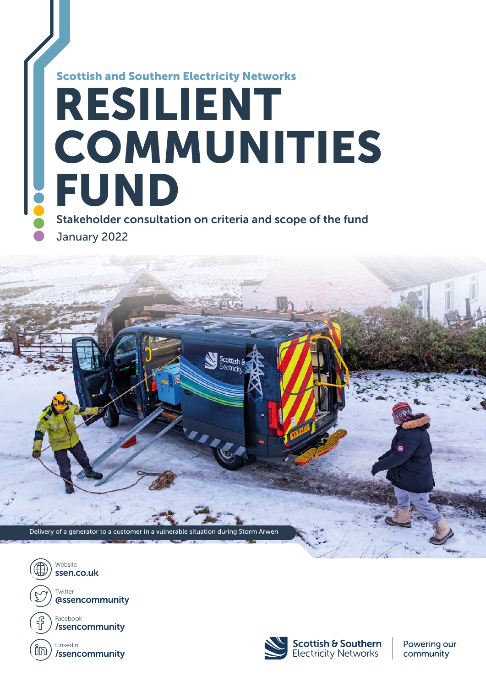# Stakeholder consultation on criteria and scope of the fund RESILIENT COMMUNITIES FUND Scottish and Southern Electricity Networks

January 2022







Powering our community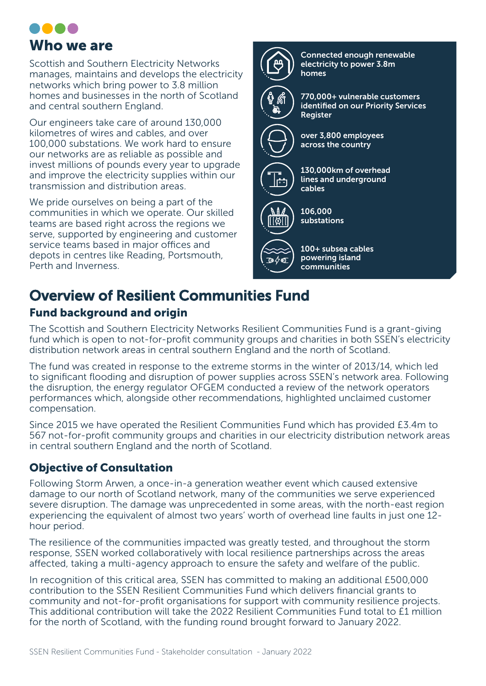

Scottish and Southern Electricity Networks manages, maintains and develops the electricity networks which bring power to 3.8 million homes and businesses in the north of Scotland and central southern England.

Our engineers take care of around 130,000 kilometres of wires and cables, and over 100,000 substations. We work hard to ensure our networks are as reliable as possible and invest millions of pounds every year to upgrade and improve the electricity supplies within our transmission and distribution areas.

We pride ourselves on being a part of the communities in which we operate. Our skilled teams are based right across the regions we serve, supported by engineering and customer service teams based in major offices and depots in centres like Reading, Portsmouth, Perth and Inverness.



## Overview of Resilient Communities Fund

## Fund background and origin

The Scottish and Southern Electricity Networks Resilient Communities Fund is a grant-giving fund which is open to not-for-profit community groups and charities in both SSEN's electricity distribution network areas in central southern England and the north of Scotland.

The fund was created in response to the extreme storms in the winter of 2013/14, which led to significant flooding and disruption of power supplies across SSEN's network area. Following the disruption, the energy regulator OFGEM conducted a review of the network operators performances which, alongside other recommendations, highlighted unclaimed customer compensation.

Since 2015 we have operated the Resilient Communities Fund which has provided £3.4m to 567 not-for-profit community groups and charities in our electricity distribution network areas in central southern England and the north of Scotland.

## Objective of Consultation

Following Storm Arwen, a once-in-a generation weather event which caused extensive damage to our north of Scotland network, many of the communities we serve experienced severe disruption. The damage was unprecedented in some areas, with the north-east region experiencing the equivalent of almost two years' worth of overhead line faults in just one 12 hour period.

The resilience of the communities impacted was greatly tested, and throughout the storm response, SSEN worked collaboratively with local resilience partnerships across the areas affected, taking a multi-agency approach to ensure the safety and welfare of the public.

In recognition of this critical area, SSEN has committed to making an additional £500,000 contribution to the SSEN Resilient Communities Fund which delivers financial grants to community and not-for-profit organisations for support with community resilience projects. This additional contribution will take the 2022 Resilient Communities Fund total to £1 million for the north of Scotland, with the funding round brought forward to January 2022.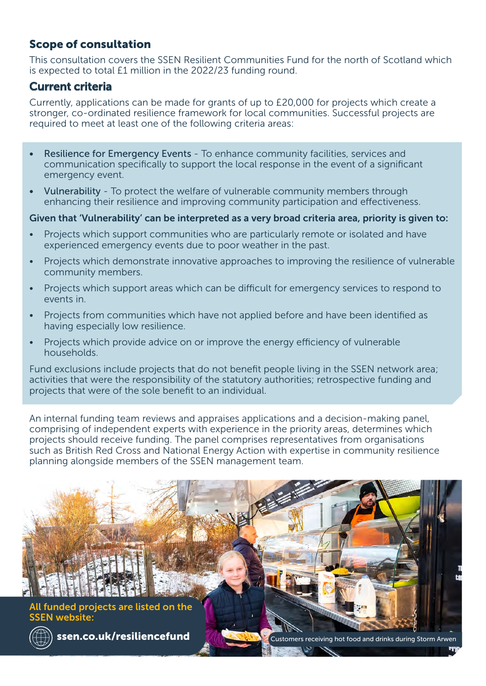## Scope of consultation

This consultation covers the SSEN Resilient Communities Fund for the north of Scotland which is expected to total £1 million in the 2022/23 funding round.

### Current criteria

Currently, applications can be made for grants of up to £20,000 for projects which create a stronger, co-ordinated resilience framework for local communities. Successful projects are required to meet at least one of the following criteria areas:

- Resilience for Emergency Events To enhance community facilities, services and communication specifically to support the local response in the event of a significant emergency event.
- Vulnerability To protect the welfare of vulnerable community members through enhancing their resilience and improving community participation and effectiveness.

#### Given that 'Vulnerability' can be interpreted as a very broad criteria area, priority is given to:

- Projects which support communities who are particularly remote or isolated and have experienced emergency events due to poor weather in the past.
- Projects which demonstrate innovative approaches to improving the resilience of vulnerable community members.
- Projects which support areas which can be difficult for emergency services to respond to events in.
- Projects from communities which have not applied before and have been identified as having especially low resilience.
- Projects which provide advice on or improve the energy efficiency of vulnerable households.

Fund exclusions include projects that do not benefit people living in the SSEN network area; activities that were the responsibility of the statutory authorities; retrospective funding and projects that were of the sole benefit to an individual.

An internal funding team reviews and appraises applications and a decision-making panel, comprising of independent experts with experience in the priority areas, determines which projects should receive funding. The panel comprises representatives from organisations such as British Red Cross and National Energy Action with expertise in community resilience planning alongside members of the SSEN management team.